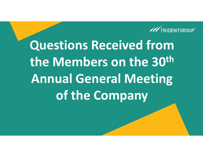

**Questions Received from the Members on the 30thAnnual General Meeting of the Company**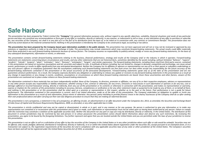# **Safe Harbour**

This presentation has been prepared by Trident Limited (the **"Company"**) for general information purposes only, without regard to any specific objectives, suitability, financial situations and needs of any particular person and does not constitute any recommendation or form part of any offer or invitation, directly or indirectly, in any manner, or inducement to sell or issue, or any solicitation of any offer to purchase or subscribe for, any securities of the Company, nor shall it or any part of it or the fact of its distribution form the basis of, or be relied on in connection with, any contract or commitment therefor. This presentation does not solicit any action based on the material contained herein. Nothing in this presentation is intended by the Company to be construed as legal, accounting or tax advice.

This presentation has been prepared by the Company based upon information available in the public domain. This presentation has not been approved and will not or may not be reviewed or approved by any statutory or reaulatory authority in India or by any Stock Exchange in India. This presentation may include statements which may constitute forward-looking statements. The actual results could differ materially from those projected in any such forward-looking statements because of various factors. The Company assumes no responsibility to publicly amend, modify or revise any forward-looking statements, on the basis of *any subsequent developments, information or events, or otherwise.*

This presentation contains certain forward-looking statements relating to the business, financial performance, strategy and results of the Company and/ or the industry in which it operates. Forward-looking statements are statements concerning future circumstances and results, and any other statements that are not historical facts, sometimes identified by the words including, without limitation "believes", "expects", "predicts", "intends", "projects", "plans", "estimates", "aims", "foresees", "anticipates", "targets", and similar expressions. The forward-looking statements, including those cited from third party sources, contained in this presentation are based on numerous assumptions and are uncertain and subject to risks. A multitude of factors including, but not limited to, changes in demand, competition and technology, can cause actual events, performance or results to differ significantly from any anticipated development. Neither the Company nor its affiliates or advisors or representatives nor any of its or their parent or subsidiary undertakings or any such person's officers or employees quarantees that the assumptions underlying such forward-looking statements are free from errors nor does either accept any responsibility for the future accuracy of the forward-looking statements contained in this presentation or the actual occurrence of the forecasted developments. Forward-looking statements speak only as of the date of this presentation and are not quarantees of future performance. As a result, the Company expressly disclaims any obligation or undertaking to release any update or revisions to any forward-looking statements in this presentation as a result of any change in expectations or any change in events, conditions, assumptions or circumstances on which these forward looking statements are based. Given these uncertainties and other factors, viewers of this presentation are cautioned not to place undue reliance on these forward-looking statements.

The information contained in these materials has not been independently verified. None of the Company, its directors, promoter or affiliates, nor any of its or their respective employees, advisers or representatives or any other person accepts any responsibility or liability whatsoever, whether arisina in tort, contract or otherwise, for any errors, omissions or inaccuracies in such information or opinions or for any loss, cost or damage suffered or incurred howsoever arising, directly or indirectly, from any use of this presentation or its contents or otherwise in connection with this presentation, and makes no representation or warranty, express or implied, for the contents of this presentation including its accuracy, fairness, completeness or verification or for any other statement made or purported to be made by any of them, or on behalf of them, and nothing in this presentation or at this presentation shall be relied upon as a promise or representation in this respect, whether as to the past or the future. Past performance is not a quide for future performance. The information contained in this presentation is current, and if not stated otherwise, made as of the date of this presentation. The Company undertakes no obligation to update or revise any information in this presentation as a result of new information, future events or otherwise. Any person/ party intending to provide finance/ invest in the shares/ businesses of the Company shall do so after seeking their own professional advice and after carrying out their own due diligence procedure to ensure that they are making an informed decision.

This presentation is not a prospectus, a statement in lieu of a prospectus, an offering circular, an advertisement or an offer document under the Companies Act, 2013, as amended, the Securities and Exchange Board of India (Issue of Capital and Disclosure Reauirements) Reaulations, 2009, as amended, or any other applicable law in India.

This presentation is strictly confidential and may not be copied or disseminated, in whole or in part, and in any manner or for any purpose. No person is authorized to give any information or to make any representation not contained in or inconsistent with this presentation and if given or made, such information or representation must not be relied upon as having been authorized by any person. Failure to comply with this restriction may constitute a violation of the applicable securities laws. Neither this document nor any part or copy of it may be distributed, directly or indirectly, in the United States. The distribution of thi document in certain jurisdictions may be restricted by law and persons in to whose possession this presentation comes should inform themselves about and observe any such restrictions. By reviewing this presentation, you garee to be bound by the foregoing limitations. You further represent and garee that you are located outside the United States and you are permitted under the laws of your jurisdiction to receive *this presentation.*

This presentation is not an offer to sell or a solicitation of any offer to buy the securities of the Company in the United States or in any other jurisdiction where such offer or sale would be unlawful. Securities may not be offered, sold, resold, pledged, delivered, distributed or transferred, directly or indirectly, in to or within the United States absent registration under the Securities Act, except pursuant to an exemption from, or in transaction not subject to, the registration requirements of the Securities Act and in compliance with any applicable securities laws of any state or other jurisdiction of the United States. The Company's securities have not been and will not be registered under the United States Securities Act of 1933, as amended.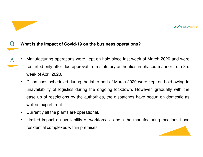

#### Q**What is the impact of Covid-19 on the business operations?**

- • Manufacturing operations were kept on hold since last week of March 2020 and wererestarted only after due approval from statutory authorities in phased manner from 3rdweek of April 2020. A
	- • Dispatches scheduled during the latter part of March 2020 were kept on hold owing tounavailability of logistics during the ongoing lockdown. However, gradually with theease up of restrictions by the authorities, the dispatches have begun on domestic aswell as export front
	- •Currently all the plants are operational.
	- • Limited impact on availability of workforce as both the manufacturing locations haveresidential complexes within premises.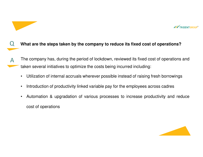

#### QWhat are the steps taken by the company to reduce its fixed cost of operations?

- The company has, during the period of lockdown, reviewed its fixed cost of operations andtaken several initiatives to optimize the costs being incurred including: A
	- •Utilization of internal accruals wherever possible instead of raising fresh borrowings
	- •Introduction of productivity linked variable pay for the employees across cadres
	- $\bullet$  Automation & upgradation of various processes to increase productivity and reducecost of operations

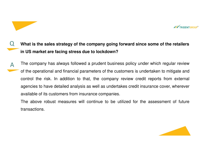

# QWhat is the sales strategy of the company going forward since some of the retailers **in US market are facing stress due to lockdown?**

The company has always followed <sup>a</sup> prudent business policy under which regular reviewof the operational and financial parameters of the customers is undertaken to mitigate andcontrol the risk. In addition to that, the company review credit reports from external agencies to have detailed analysis as well as undertakes credit insurance cover, whereveravailable of its customers from insurance companies. A

The above robust measures will continue to be utilized for the assessment of futuretransactions.

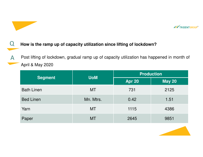

## QHow is the ramp up of capacity utilization since lifting of lockdown?

Post lifting of lockdown, gradual ramp up of capacity utilization has happened in month of April & May 2020A

|                   | <b>UoM</b> | <b>Production</b> |               |
|-------------------|------------|-------------------|---------------|
| <b>Segment</b>    |            | <b>Apr 20</b>     | <b>May 20</b> |
| <b>Bath Linen</b> | <b>MT</b>  | 731               | 2125          |
| <b>Bed Linen</b>  | Mn. Mtrs.  | 0.42              | 1.51          |
| Yarn              | <b>MT</b>  | 1115              | 4386          |
| Paper             | MT         | 2645              | 9851          |

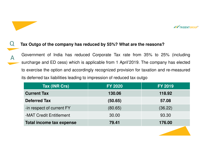

# Tax Outgo of the company has reduced by 55%? What are the reasons?

Q

A

Government of India has reduced Corporate Tax rate from 35% to 25% (including surcharge and ED cess) which is applicable from 1 April'2019. The company has electedto exercise the option and accordingly recognized provision for taxation and re-measuredits deferred tax liabilities leading to impression of reduced tax outgo

| <b>FY 2020</b> | <b>FY 2019</b> |
|----------------|----------------|
| 130.06         | 118.92         |
| (50.65)        | 57.08          |
| (80.65)        | (36.22)        |
| 30.00          | 93.30          |
| 79.41          | 176.00         |
|                |                |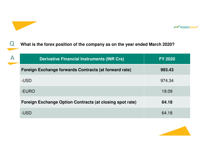

QWhat is the forex position of the company as on the year ended March 2020?

| $\overline{\mathsf{A}}$ | <b>Derivative Financial Instruments (INR Crs)</b>        | <b>FY 2020</b> |
|-------------------------|----------------------------------------------------------|----------------|
|                         | Foreign Exchange forwards Contracts (at forward rate)    | 993.43         |
|                         | -USD                                                     | 974.34         |
|                         | -EURO                                                    | 19.09          |
|                         | Foreign Exchange Option Contracts (at closing spot rate) | 64.18          |
|                         | -USD                                                     | 64.18          |

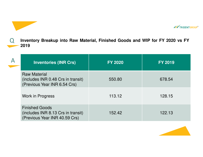

QInventory Breakup into Raw Material, Finished Goods and WIP for FY 2020 vs FY **2019**

| <b>Inventories (INR Crs)</b>                                                                 | <b>FY 2020</b> | <b>FY 2019</b> |
|----------------------------------------------------------------------------------------------|----------------|----------------|
| <b>Raw Material</b><br>(includes INR 0.48 Crs in transit)<br>(Previous Year INR 6.54 Crs)    | 550.80         | 678.54         |
| Work in Progress                                                                             | 113.12         | 128.15         |
| <b>Finished Goods</b><br>(includes INR 8.13 Crs in transit)<br>(Previous Year INR 40.59 Crs) | 152.42         | 122.13         |

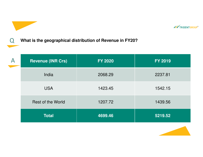

Q

# **What is the geographical distribution of Revenue in FY20?**

| <b>Revenue (INR Crs)</b> | <b>FY 2020</b> | <b>FY 2019</b> |
|--------------------------|----------------|----------------|
| India                    | 2068.29        | 2237.81        |
| <b>USA</b>               | 1423.45        | 1542.15        |
| <b>Rest of the World</b> | 1207.72        | 1439.56        |
| <b>Total</b>             | 4699.46        | 5219.52        |

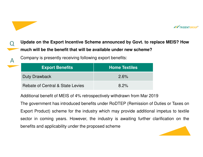

# QUpdate on the Export Incentive Scheme announced by Govt. to replace MEIS? How much will be the benefit that will be available under new scheme?

Company is presently receiving following export benefits:

A

| <b>Export Benefits</b>           | <b>Home Textiles</b> |
|----------------------------------|----------------------|
| <b>Duty Drawback</b>             | 2.6%                 |
| Rebate of Central & State Levies | 8.2%                 |

Additional benefit of MEIS of 4% retrospectively withdrawn from Mar 2019

The government has introduced benefits under RoDTEP (Remission of Duties or Taxes onExport Product) scheme for the industry which may provide additional impetus to textilesector in coming years. However, the industry is awaiting further clarification on thebenefits and applicability under the proposed scheme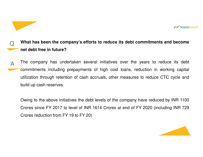

# QWhat has been the company's efforts to reduce its debt commitments and become **net debt free in future?**

The company has undertaken several initiatives over the years to reduce its debt commitments including prepayments of high cost loans, reduction in working capital utilization through retention of cash accruals, other measures to reduce CTC cycle andbuild up cash reserves. A

Owing to the above initiatives the debt levels of the company have reduced by INR <sup>1100</sup> Crores since FY 2017 to level of INR 1614 Crores at end of FY 2020 (including INR 729Crores reduction from FY 19 to FY 20)

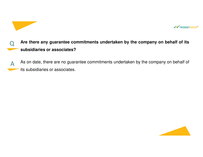

## QAre there any guarantee commitments undertaken by the company on behalf of its **subsidiaries or associates?**

As on date, there are no guarantee commitments undertaken by the company on behalf of its subsidiaries or associates. A

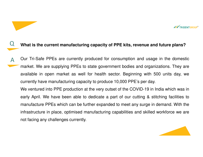

## QWhat is the current manufacturing capacity of PPE kits, revenue and future plans?

Our Tri-Safe PPEs are currently produced for consumption and usage in the domesticmarket. We are supplying PPEs to state government bodies and organizations. They areavailable in open market as well for health sector. Beginning with 500 units day, wecurrently have manufacturing capacity to produce 10,000 PPE's per day. We ventured into PPE production at the very outset of the COVID-19 in India which was in early April. We have been able to dedicate <sup>a</sup> part of our cutting & stitching facilities to manufacture PPEs which can be further expanded to meet any surge in demand. With theinfrastructure in place, optimised manufacturing capabilities and skilled workforce we arenot facing any challenges currently. A

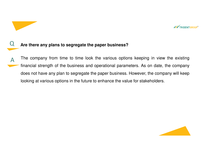

## Q**Are there any plans to segregate the paper business?**

The company from time to time look the various options keeping in view the existingfinancial strength of the business and operational parameters. As on date, the companydoes not have any plan to segregate the paper business. However, the company will keeplooking at various options in the future to enhance the value for stakeholders. A

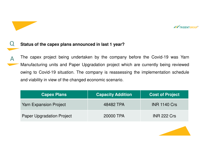

#### Q**Status of the capex plans announced in last <sup>1</sup> year?**

The capex project being undertaken by the company before the Covid-19 was YarnManufacturing units and Paper Upgradation project which are currently being reviewedowing to Covid-19 situation. The company is reassessing the implementation scheduleand viability in view of the changed economic scenario. A

| <b>Capex Plans</b>               | <b>Capacity Addition</b> | <b>Cost of Project</b> |
|----------------------------------|--------------------------|------------------------|
| <b>Yarn Expansion Project</b>    | 48482 TPA                | <b>INR 1140 Crs</b>    |
| <b>Paper Upgradation Project</b> | 20000 TPA                | <b>INR 222 Crs</b>     |

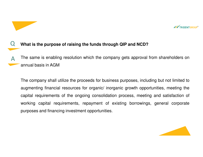

#### $\boldsymbol{\mathsf{Q}}$ **What is the purpose of raising the funds through QIP and NCD?**

The same is enabling resolution which the company gets approval from shareholders onannual basis in AGMA

The company shall utilize the proceeds for business purposes, including but not limited toaugmenting financial resources for organic/ inorganic growth opportunities, meeting the capital requirements of the ongoing consolidation process, meeting and satisfaction of working capital requirements, repayment of existing borrowings, general corporatepurposes and financing investment opportunities.